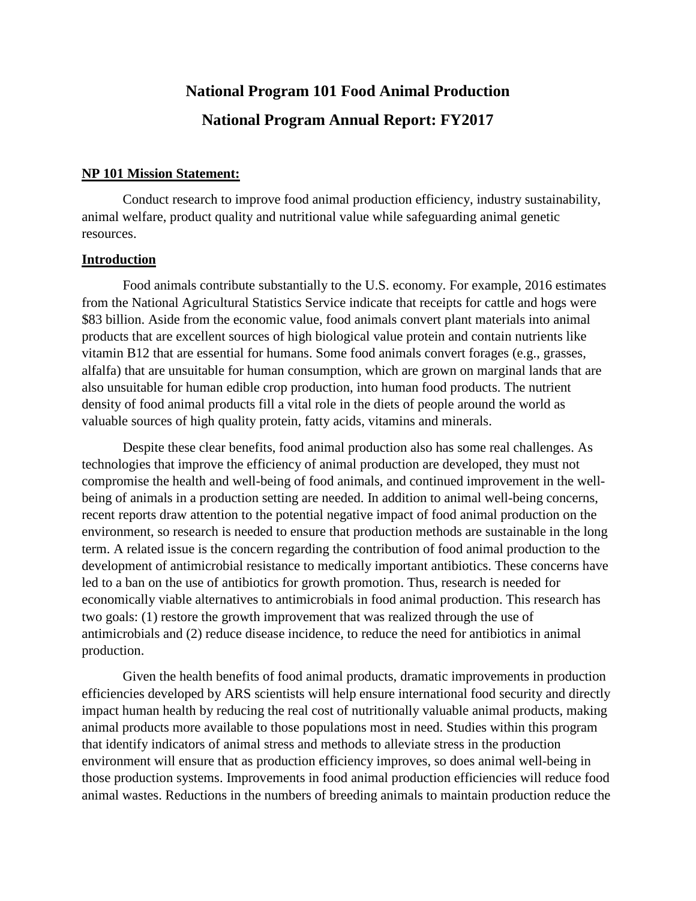# **National Program 101 Food Animal Production National Program Annual Report: FY2017**

#### **NP 101 Mission Statement:**

Conduct research to improve food animal production efficiency, industry sustainability, animal welfare, product quality and nutritional value while safeguarding animal genetic resources.

#### **Introduction**

Food animals contribute substantially to the U.S. economy. For example, 2016 estimates from the National Agricultural Statistics Service indicate that receipts for cattle and hogs were \$83 billion. Aside from the economic value, food animals convert plant materials into animal products that are excellent sources of high biological value protein and contain nutrients like vitamin B12 that are essential for humans. Some food animals convert forages (e.g., grasses, alfalfa) that are unsuitable for human consumption, which are grown on marginal lands that are also unsuitable for human edible crop production, into human food products. The nutrient density of food animal products fill a vital role in the diets of people around the world as valuable sources of high quality protein, fatty acids, vitamins and minerals.

Despite these clear benefits, food animal production also has some real challenges. As technologies that improve the efficiency of animal production are developed, they must not compromise the health and well-being of food animals, and continued improvement in the wellbeing of animals in a production setting are needed. In addition to animal well-being concerns, recent reports draw attention to the potential negative impact of food animal production on the environment, so research is needed to ensure that production methods are sustainable in the long term. A related issue is the concern regarding the contribution of food animal production to the development of antimicrobial resistance to medically important antibiotics. These concerns have led to a ban on the use of antibiotics for growth promotion. Thus, research is needed for economically viable alternatives to antimicrobials in food animal production. This research has two goals: (1) restore the growth improvement that was realized through the use of antimicrobials and (2) reduce disease incidence, to reduce the need for antibiotics in animal production.

Given the health benefits of food animal products, dramatic improvements in production efficiencies developed by ARS scientists will help ensure international food security and directly impact human health by reducing the real cost of nutritionally valuable animal products, making animal products more available to those populations most in need. Studies within this program that identify indicators of animal stress and methods to alleviate stress in the production environment will ensure that as production efficiency improves, so does animal well-being in those production systems. Improvements in food animal production efficiencies will reduce food animal wastes. Reductions in the numbers of breeding animals to maintain production reduce the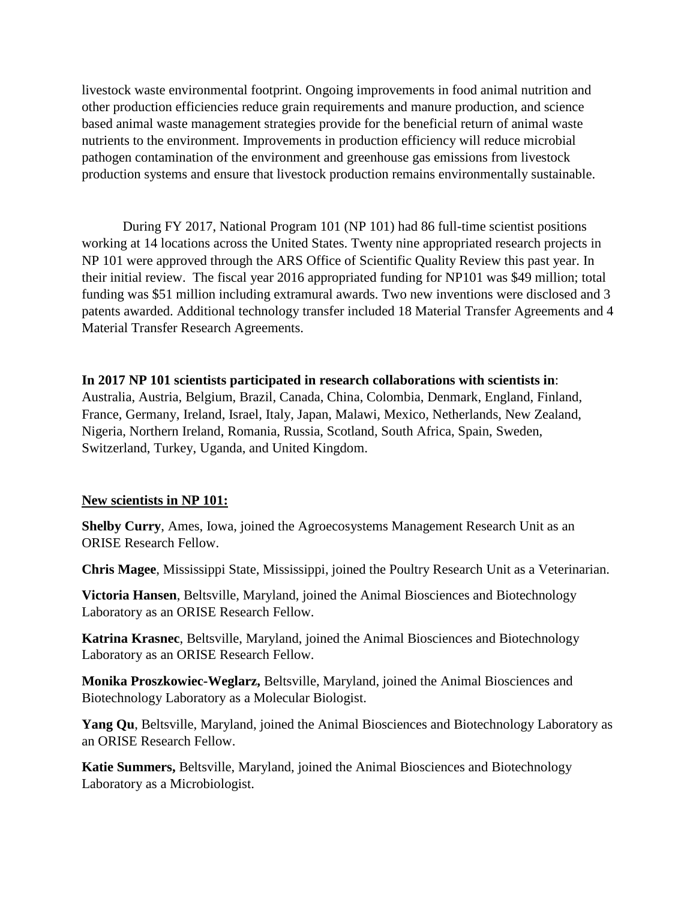livestock waste environmental footprint. Ongoing improvements in food animal nutrition and other production efficiencies reduce grain requirements and manure production, and science based animal waste management strategies provide for the beneficial return of animal waste nutrients to the environment. Improvements in production efficiency will reduce microbial pathogen contamination of the environment and greenhouse gas emissions from livestock production systems and ensure that livestock production remains environmentally sustainable.

During FY 2017, National Program 101 (NP 101) had 86 full-time scientist positions working at 14 locations across the United States. Twenty nine appropriated research projects in NP 101 were approved through the ARS Office of Scientific Quality Review this past year. In their initial review. The fiscal year 2016 appropriated funding for NP101 was \$49 million; total funding was \$51 million including extramural awards. Two new inventions were disclosed and 3 patents awarded. Additional technology transfer included 18 Material Transfer Agreements and 4 Material Transfer Research Agreements.

# **In 2017 NP 101 scientists participated in research collaborations with scientists in**:

Australia, Austria, Belgium, Brazil, Canada, China, Colombia, Denmark, England, Finland, France, Germany, Ireland, Israel, Italy, Japan, Malawi, Mexico, Netherlands, New Zealand, Nigeria, Northern Ireland, Romania, Russia, Scotland, South Africa, Spain, Sweden, Switzerland, Turkey, Uganda, and United Kingdom.

#### **New scientists in NP 101:**

**Shelby Curry**, Ames, Iowa, joined the Agroecosystems Management Research Unit as an ORISE Research Fellow.

**Chris Magee**, Mississippi State, Mississippi, joined the Poultry Research Unit as a Veterinarian.

**Victoria Hansen**, Beltsville, Maryland, joined the Animal Biosciences and Biotechnology Laboratory as an ORISE Research Fellow.

**Katrina Krasnec**, Beltsville, Maryland, joined the Animal Biosciences and Biotechnology Laboratory as an ORISE Research Fellow.

**Monika Proszkowiec-Weglarz,** Beltsville, Maryland, joined the Animal Biosciences and Biotechnology Laboratory as a Molecular Biologist.

**Yang Qu**, Beltsville, Maryland, joined the Animal Biosciences and Biotechnology Laboratory as an ORISE Research Fellow.

**Katie Summers,** Beltsville, Maryland, joined the Animal Biosciences and Biotechnology Laboratory as a Microbiologist.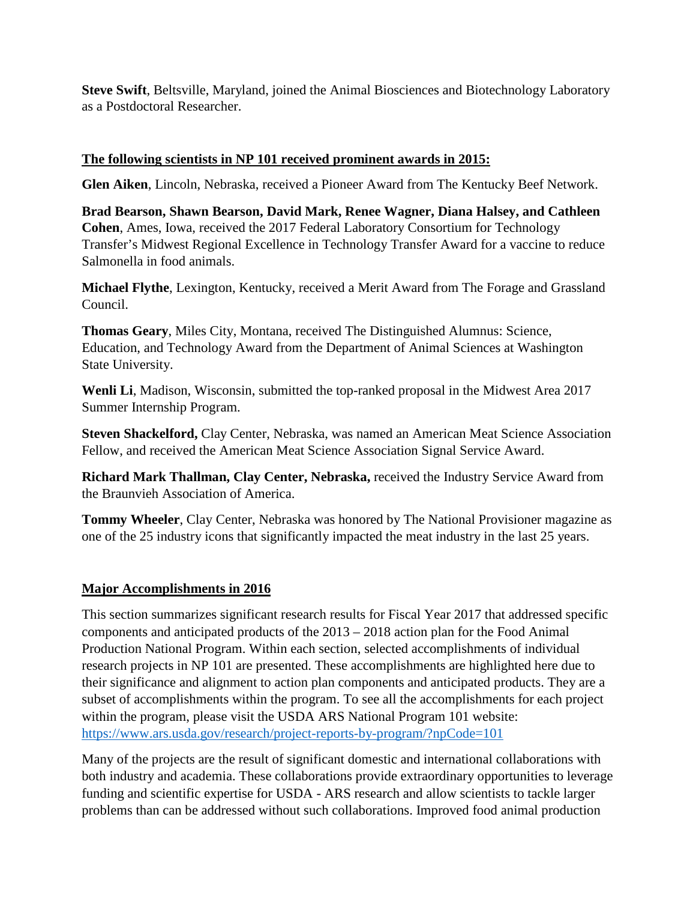**Steve Swift**, Beltsville, Maryland, joined the Animal Biosciences and Biotechnology Laboratory as a Postdoctoral Researcher.

# **The following scientists in NP 101 received prominent awards in 2015:**

**Glen Aiken**, Lincoln, Nebraska, received a Pioneer Award from The Kentucky Beef Network.

**Brad Bearson, Shawn Bearson, David Mark, Renee Wagner, Diana Halsey, and Cathleen Cohen**, Ames, Iowa, received the 2017 Federal Laboratory Consortium for Technology Transfer's Midwest Regional Excellence in Technology Transfer Award for a vaccine to reduce Salmonella in food animals.

**Michael Flythe**, Lexington, Kentucky, received a Merit Award from The Forage and Grassland Council.

**Thomas Geary**, Miles City, Montana, received The Distinguished Alumnus: Science, Education, and Technology Award from the Department of Animal Sciences at Washington State University.

**Wenli Li**, Madison, Wisconsin, submitted the top-ranked proposal in the Midwest Area 2017 Summer Internship Program.

**Steven Shackelford,** Clay Center, Nebraska, was named an American Meat Science Association Fellow, and received the American Meat Science Association Signal Service Award.

**Richard Mark Thallman, Clay Center, Nebraska,** received the Industry Service Award from the Braunvieh Association of America.

**Tommy Wheeler**, Clay Center, Nebraska was honored by The National Provisioner magazine as one of the 25 industry icons that significantly impacted the meat industry in the last 25 years.

# **Major Accomplishments in 2016**

This section summarizes significant research results for Fiscal Year 2017 that addressed specific components and anticipated products of the 2013 – 2018 action plan for the Food Animal Production National Program. Within each section, selected accomplishments of individual research projects in NP 101 are presented. These accomplishments are highlighted here due to their significance and alignment to action plan components and anticipated products. They are a subset of accomplishments within the program. To see all the accomplishments for each project within the program, please visit the USDA ARS National Program 101 website: https://www.ars.usda.gov/research/project-reports-by-program/?npCode=101

Many of the projects are the result of significant domestic and international collaborations with both industry and academia. These collaborations provide extraordinary opportunities to leverage funding and scientific expertise for USDA - ARS research and allow scientists to tackle larger problems than can be addressed without such collaborations. Improved food animal production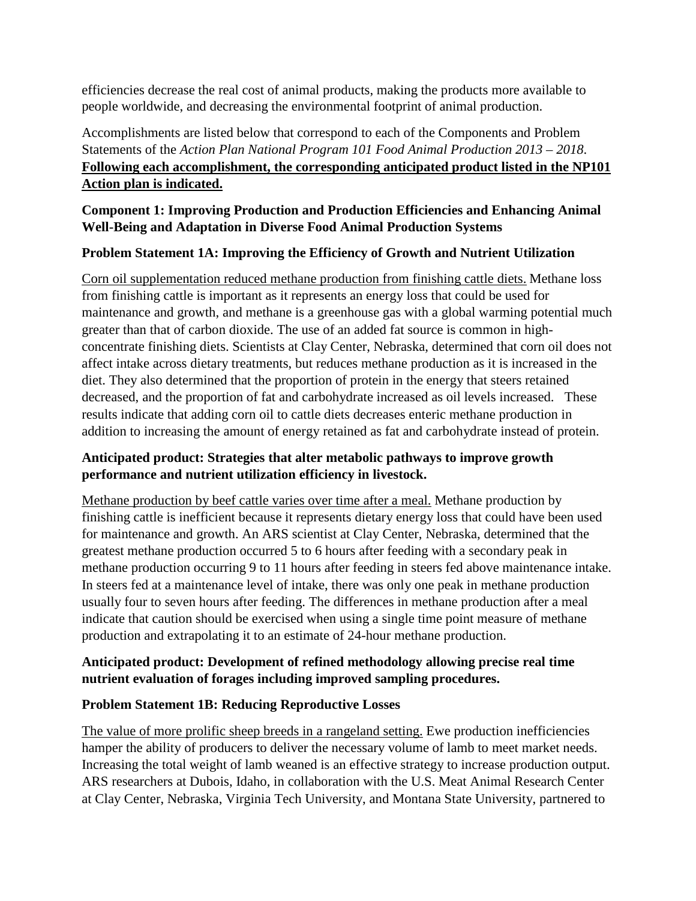efficiencies decrease the real cost of animal products, making the products more available to people worldwide, and decreasing the environmental footprint of animal production.

Accomplishments are listed below that correspond to each of the Components and Problem Statements of the *Action Plan National Program 101 Food Animal Production 2013 – 2018*. **Following each accomplishment, the corresponding anticipated product listed in the NP101 Action plan is indicated.**

# **Component 1: Improving Production and Production Efficiencies and Enhancing Animal Well-Being and Adaptation in Diverse Food Animal Production Systems**

# **Problem Statement 1A: Improving the Efficiency of Growth and Nutrient Utilization**

Corn oil supplementation reduced methane production from finishing cattle diets. Methane loss from finishing cattle is important as it represents an energy loss that could be used for maintenance and growth, and methane is a greenhouse gas with a global warming potential much greater than that of carbon dioxide. The use of an added fat source is common in highconcentrate finishing diets. Scientists at Clay Center, Nebraska, determined that corn oil does not affect intake across dietary treatments, but reduces methane production as it is increased in the diet. They also determined that the proportion of protein in the energy that steers retained decreased, and the proportion of fat and carbohydrate increased as oil levels increased. These results indicate that adding corn oil to cattle diets decreases enteric methane production in addition to increasing the amount of energy retained as fat and carbohydrate instead of protein.

# **Anticipated product: Strategies that alter metabolic pathways to improve growth performance and nutrient utilization efficiency in livestock.**

Methane production by beef cattle varies over time after a meal. Methane production by finishing cattle is inefficient because it represents dietary energy loss that could have been used for maintenance and growth. An ARS scientist at Clay Center, Nebraska, determined that the greatest methane production occurred 5 to 6 hours after feeding with a secondary peak in methane production occurring 9 to 11 hours after feeding in steers fed above maintenance intake. In steers fed at a maintenance level of intake, there was only one peak in methane production usually four to seven hours after feeding. The differences in methane production after a meal indicate that caution should be exercised when using a single time point measure of methane production and extrapolating it to an estimate of 24-hour methane production.

# **Anticipated product: Development of refined methodology allowing precise real time nutrient evaluation of forages including improved sampling procedures.**

#### **Problem Statement 1B: Reducing Reproductive Losses**

The value of more prolific sheep breeds in a rangeland setting. Ewe production inefficiencies hamper the ability of producers to deliver the necessary volume of lamb to meet market needs. Increasing the total weight of lamb weaned is an effective strategy to increase production output. ARS researchers at Dubois, Idaho, in collaboration with the U.S. Meat Animal Research Center at Clay Center, Nebraska, Virginia Tech University, and Montana State University, partnered to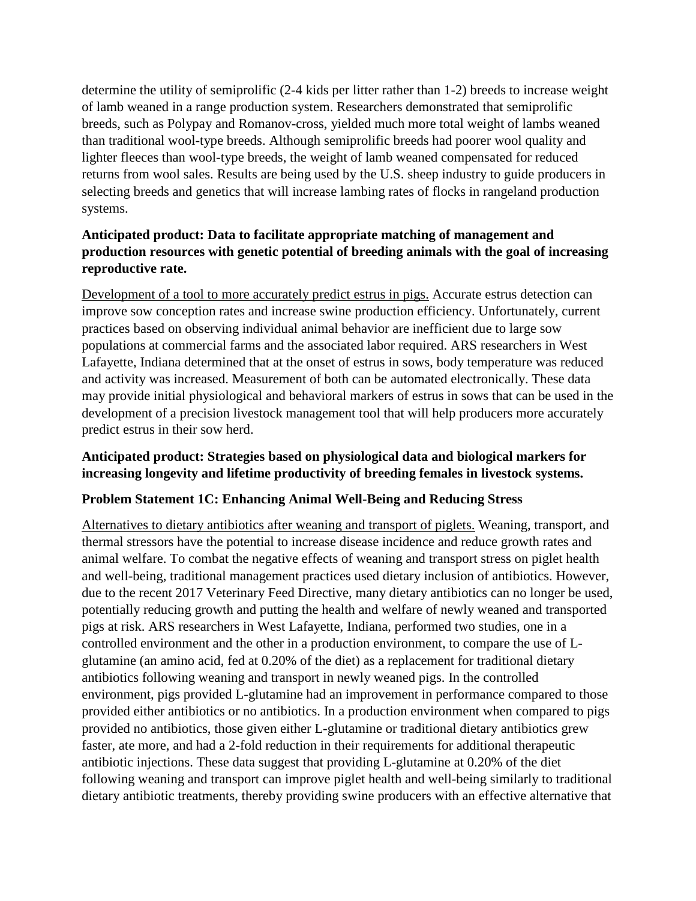determine the utility of semiprolific (2-4 kids per litter rather than 1-2) breeds to increase weight of lamb weaned in a range production system. Researchers demonstrated that semiprolific breeds, such as Polypay and Romanov-cross, yielded much more total weight of lambs weaned than traditional wool-type breeds. Although semiprolific breeds had poorer wool quality and lighter fleeces than wool-type breeds, the weight of lamb weaned compensated for reduced returns from wool sales. Results are being used by the U.S. sheep industry to guide producers in selecting breeds and genetics that will increase lambing rates of flocks in rangeland production systems.

# **Anticipated product: Data to facilitate appropriate matching of management and production resources with genetic potential of breeding animals with the goal of increasing reproductive rate.**

Development of a tool to more accurately predict estrus in pigs. Accurate estrus detection can improve sow conception rates and increase swine production efficiency. Unfortunately, current practices based on observing individual animal behavior are inefficient due to large sow populations at commercial farms and the associated labor required. ARS researchers in West Lafayette, Indiana determined that at the onset of estrus in sows, body temperature was reduced and activity was increased. Measurement of both can be automated electronically. These data may provide initial physiological and behavioral markers of estrus in sows that can be used in the development of a precision livestock management tool that will help producers more accurately predict estrus in their sow herd.

# **Anticipated product: Strategies based on physiological data and biological markers for increasing longevity and lifetime productivity of breeding females in livestock systems.**

# **Problem Statement 1C: Enhancing Animal Well-Being and Reducing Stress**

Alternatives to dietary antibiotics after weaning and transport of piglets. Weaning, transport, and thermal stressors have the potential to increase disease incidence and reduce growth rates and animal welfare. To combat the negative effects of weaning and transport stress on piglet health and well-being, traditional management practices used dietary inclusion of antibiotics. However, due to the recent 2017 Veterinary Feed Directive, many dietary antibiotics can no longer be used, potentially reducing growth and putting the health and welfare of newly weaned and transported pigs at risk. ARS researchers in West Lafayette, Indiana, performed two studies, one in a controlled environment and the other in a production environment, to compare the use of Lglutamine (an amino acid, fed at 0.20% of the diet) as a replacement for traditional dietary antibiotics following weaning and transport in newly weaned pigs. In the controlled environment, pigs provided L-glutamine had an improvement in performance compared to those provided either antibiotics or no antibiotics. In a production environment when compared to pigs provided no antibiotics, those given either L-glutamine or traditional dietary antibiotics grew faster, ate more, and had a 2-fold reduction in their requirements for additional therapeutic antibiotic injections. These data suggest that providing L-glutamine at 0.20% of the diet following weaning and transport can improve piglet health and well-being similarly to traditional dietary antibiotic treatments, thereby providing swine producers with an effective alternative that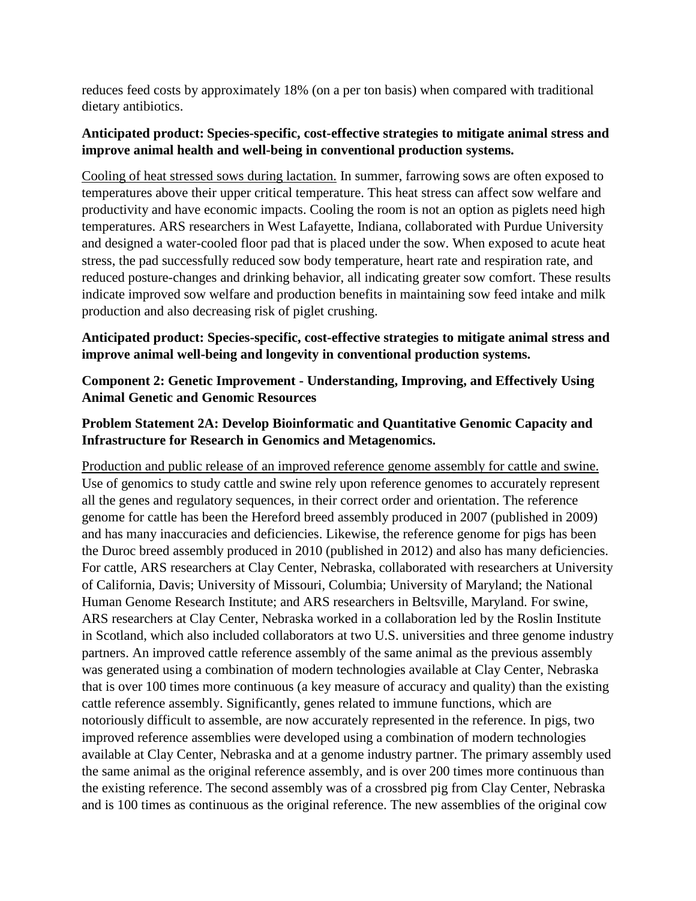reduces feed costs by approximately 18% (on a per ton basis) when compared with traditional dietary antibiotics.

# **Anticipated product: Species-specific, cost-effective strategies to mitigate animal stress and improve animal health and well-being in conventional production systems.**

Cooling of heat stressed sows during lactation. In summer, farrowing sows are often exposed to temperatures above their upper critical temperature. This heat stress can affect sow welfare and productivity and have economic impacts. Cooling the room is not an option as piglets need high temperatures. ARS researchers in West Lafayette, Indiana, collaborated with Purdue University and designed a water-cooled floor pad that is placed under the sow. When exposed to acute heat stress, the pad successfully reduced sow body temperature, heart rate and respiration rate, and reduced posture-changes and drinking behavior, all indicating greater sow comfort. These results indicate improved sow welfare and production benefits in maintaining sow feed intake and milk production and also decreasing risk of piglet crushing.

# **Anticipated product: Species-specific, cost-effective strategies to mitigate animal stress and improve animal well-being and longevity in conventional production systems.**

# **Component 2: Genetic Improvement - Understanding, Improving, and Effectively Using Animal Genetic and Genomic Resources**

# **Problem Statement 2A: Develop Bioinformatic and Quantitative Genomic Capacity and Infrastructure for Research in Genomics and Metagenomics.**

Production and public release of an improved reference genome assembly for cattle and swine. Use of genomics to study cattle and swine rely upon reference genomes to accurately represent all the genes and regulatory sequences, in their correct order and orientation. The reference genome for cattle has been the Hereford breed assembly produced in 2007 (published in 2009) and has many inaccuracies and deficiencies. Likewise, the reference genome for pigs has been the Duroc breed assembly produced in 2010 (published in 2012) and also has many deficiencies. For cattle, ARS researchers at Clay Center, Nebraska, collaborated with researchers at University of California, Davis; University of Missouri, Columbia; University of Maryland; the National Human Genome Research Institute; and ARS researchers in Beltsville, Maryland. For swine, ARS researchers at Clay Center, Nebraska worked in a collaboration led by the Roslin Institute in Scotland, which also included collaborators at two U.S. universities and three genome industry partners. An improved cattle reference assembly of the same animal as the previous assembly was generated using a combination of modern technologies available at Clay Center, Nebraska that is over 100 times more continuous (a key measure of accuracy and quality) than the existing cattle reference assembly. Significantly, genes related to immune functions, which are notoriously difficult to assemble, are now accurately represented in the reference. In pigs, two improved reference assemblies were developed using a combination of modern technologies available at Clay Center, Nebraska and at a genome industry partner. The primary assembly used the same animal as the original reference assembly, and is over 200 times more continuous than the existing reference. The second assembly was of a crossbred pig from Clay Center, Nebraska and is 100 times as continuous as the original reference. The new assemblies of the original cow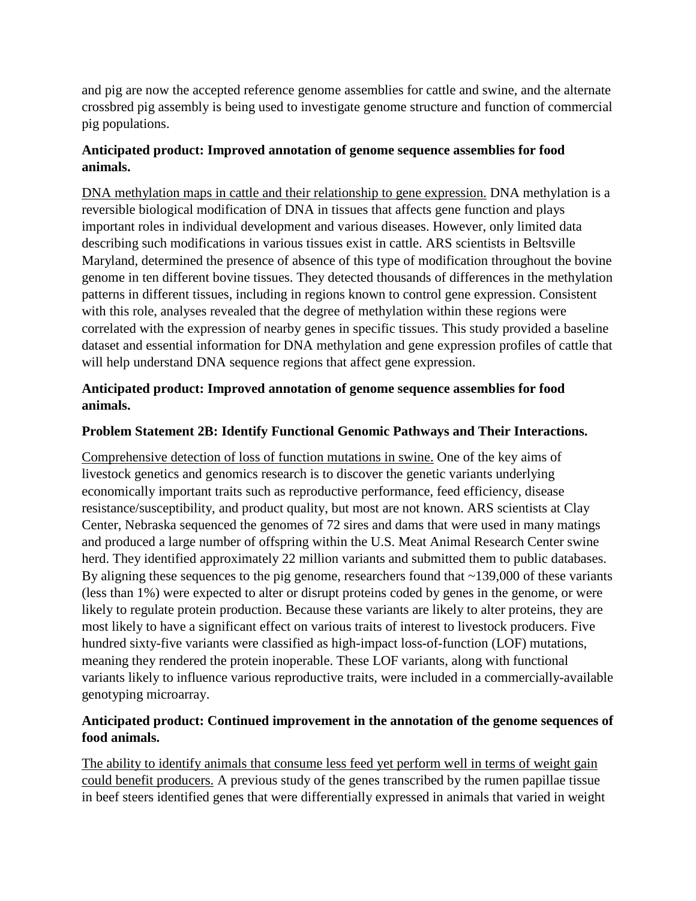and pig are now the accepted reference genome assemblies for cattle and swine, and the alternate crossbred pig assembly is being used to investigate genome structure and function of commercial pig populations.

# **Anticipated product: Improved annotation of genome sequence assemblies for food animals.**

DNA methylation maps in cattle and their relationship to gene expression. DNA methylation is a reversible biological modification of DNA in tissues that affects gene function and plays important roles in individual development and various diseases. However, only limited data describing such modifications in various tissues exist in cattle. ARS scientists in Beltsville Maryland, determined the presence of absence of this type of modification throughout the bovine genome in ten different bovine tissues. They detected thousands of differences in the methylation patterns in different tissues, including in regions known to control gene expression. Consistent with this role, analyses revealed that the degree of methylation within these regions were correlated with the expression of nearby genes in specific tissues. This study provided a baseline dataset and essential information for DNA methylation and gene expression profiles of cattle that will help understand DNA sequence regions that affect gene expression.

### **Anticipated product: Improved annotation of genome sequence assemblies for food animals.**

#### **Problem Statement 2B: Identify Functional Genomic Pathways and Their Interactions.**

Comprehensive detection of loss of function mutations in swine. One of the key aims of livestock genetics and genomics research is to discover the genetic variants underlying economically important traits such as reproductive performance, feed efficiency, disease resistance/susceptibility, and product quality, but most are not known. ARS scientists at Clay Center, Nebraska sequenced the genomes of 72 sires and dams that were used in many matings and produced a large number of offspring within the U.S. Meat Animal Research Center swine herd. They identified approximately 22 million variants and submitted them to public databases. By aligning these sequences to the pig genome, researchers found that ~139,000 of these variants (less than 1%) were expected to alter or disrupt proteins coded by genes in the genome, or were likely to regulate protein production. Because these variants are likely to alter proteins, they are most likely to have a significant effect on various traits of interest to livestock producers. Five hundred sixty-five variants were classified as high-impact loss-of-function (LOF) mutations, meaning they rendered the protein inoperable. These LOF variants, along with functional variants likely to influence various reproductive traits, were included in a commercially-available genotyping microarray.

# **Anticipated product: Continued improvement in the annotation of the genome sequences of food animals.**

The ability to identify animals that consume less feed yet perform well in terms of weight gain could benefit producers. A previous study of the genes transcribed by the rumen papillae tissue in beef steers identified genes that were differentially expressed in animals that varied in weight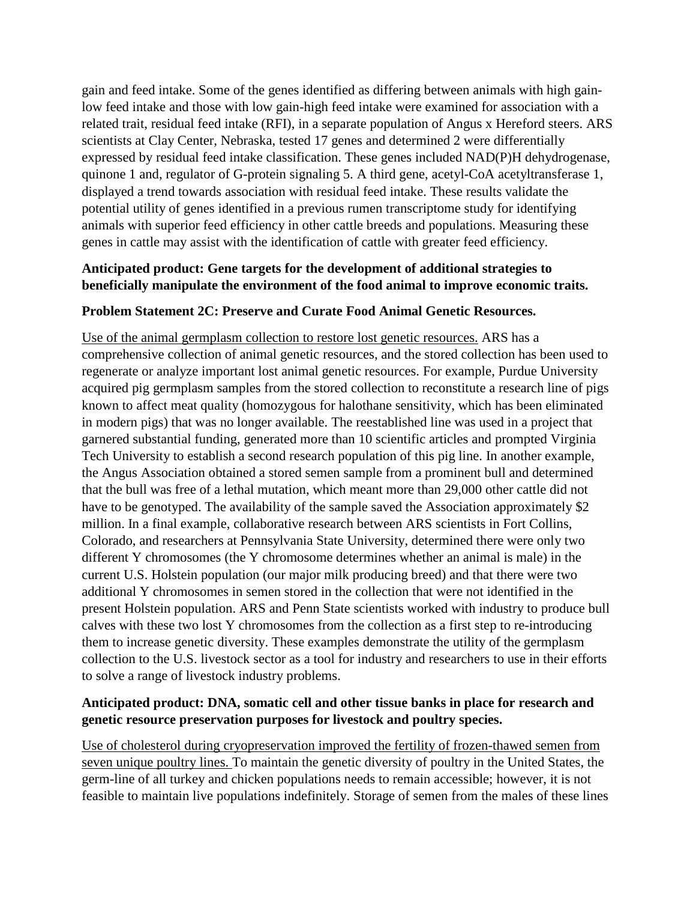gain and feed intake. Some of the genes identified as differing between animals with high gainlow feed intake and those with low gain-high feed intake were examined for association with a related trait, residual feed intake (RFI), in a separate population of Angus x Hereford steers. ARS scientists at Clay Center, Nebraska, tested 17 genes and determined 2 were differentially expressed by residual feed intake classification. These genes included NAD(P)H dehydrogenase, quinone 1 and, regulator of G-protein signaling 5. A third gene, acetyl-CoA acetyltransferase 1, displayed a trend towards association with residual feed intake. These results validate the potential utility of genes identified in a previous rumen transcriptome study for identifying animals with superior feed efficiency in other cattle breeds and populations. Measuring these genes in cattle may assist with the identification of cattle with greater feed efficiency.

# **Anticipated product: Gene targets for the development of additional strategies to beneficially manipulate the environment of the food animal to improve economic traits.**

#### **Problem Statement 2C: Preserve and Curate Food Animal Genetic Resources.**

Use of the animal germplasm collection to restore lost genetic resources. ARS has a comprehensive collection of animal genetic resources, and the stored collection has been used to regenerate or analyze important lost animal genetic resources. For example, Purdue University acquired pig germplasm samples from the stored collection to reconstitute a research line of pigs known to affect meat quality (homozygous for halothane sensitivity, which has been eliminated in modern pigs) that was no longer available. The reestablished line was used in a project that garnered substantial funding, generated more than 10 scientific articles and prompted Virginia Tech University to establish a second research population of this pig line. In another example, the Angus Association obtained a stored semen sample from a prominent bull and determined that the bull was free of a lethal mutation, which meant more than 29,000 other cattle did not have to be genotyped. The availability of the sample saved the Association approximately \$2 million. In a final example, collaborative research between ARS scientists in Fort Collins, Colorado, and researchers at Pennsylvania State University, determined there were only two different Y chromosomes (the Y chromosome determines whether an animal is male) in the current U.S. Holstein population (our major milk producing breed) and that there were two additional Y chromosomes in semen stored in the collection that were not identified in the present Holstein population. ARS and Penn State scientists worked with industry to produce bull calves with these two lost Y chromosomes from the collection as a first step to re-introducing them to increase genetic diversity. These examples demonstrate the utility of the germplasm collection to the U.S. livestock sector as a tool for industry and researchers to use in their efforts to solve a range of livestock industry problems.

#### **Anticipated product: DNA, somatic cell and other tissue banks in place for research and genetic resource preservation purposes for livestock and poultry species.**

Use of cholesterol during cryopreservation improved the fertility of frozen-thawed semen from seven unique poultry lines. To maintain the genetic diversity of poultry in the United States, the germ-line of all turkey and chicken populations needs to remain accessible; however, it is not feasible to maintain live populations indefinitely. Storage of semen from the males of these lines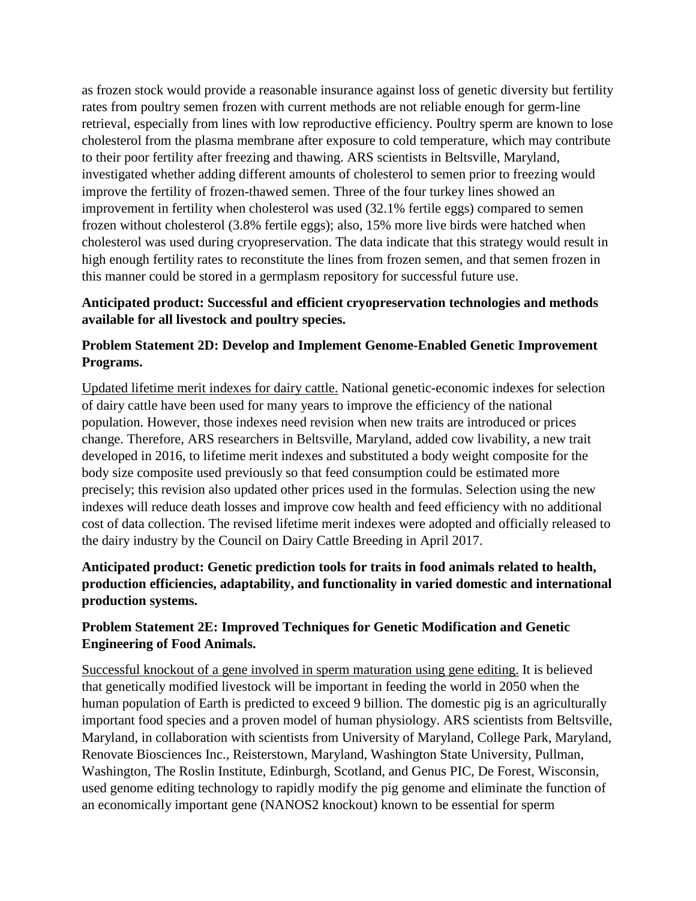as frozen stock would provide a reasonable insurance against loss of genetic diversity but fertility rates from poultry semen frozen with current methods are not reliable enough for germ-line retrieval, especially from lines with low reproductive efficiency. Poultry sperm are known to lose cholesterol from the plasma membrane after exposure to cold temperature, which may contribute to their poor fertility after freezing and thawing. ARS scientists in Beltsville, Maryland, investigated whether adding different amounts of cholesterol to semen prior to freezing would improve the fertility of frozen-thawed semen. Three of the four turkey lines showed an improvement in fertility when cholesterol was used (32.1% fertile eggs) compared to semen frozen without cholesterol (3.8% fertile eggs); also, 15% more live birds were hatched when cholesterol was used during cryopreservation. The data indicate that this strategy would result in high enough fertility rates to reconstitute the lines from frozen semen, and that semen frozen in this manner could be stored in a germplasm repository for successful future use.

### **Anticipated product: Successful and efficient cryopreservation technologies and methods available for all livestock and poultry species.**

# **Problem Statement 2D: Develop and Implement Genome-Enabled Genetic Improvement Programs.**

Updated lifetime merit indexes for dairy cattle. National genetic-economic indexes for selection of dairy cattle have been used for many years to improve the efficiency of the national population. However, those indexes need revision when new traits are introduced or prices change. Therefore, ARS researchers in Beltsville, Maryland, added cow livability, a new trait developed in 2016, to lifetime merit indexes and substituted a body weight composite for the body size composite used previously so that feed consumption could be estimated more precisely; this revision also updated other prices used in the formulas. Selection using the new indexes will reduce death losses and improve cow health and feed efficiency with no additional cost of data collection. The revised lifetime merit indexes were adopted and officially released to the dairy industry by the Council on Dairy Cattle Breeding in April 2017.

# **Anticipated product: Genetic prediction tools for traits in food animals related to health, production efficiencies, adaptability, and functionality in varied domestic and international production systems.**

# **Problem Statement 2E: Improved Techniques for Genetic Modification and Genetic Engineering of Food Animals.**

Successful knockout of a gene involved in sperm maturation using gene editing. It is believed that genetically modified livestock will be important in feeding the world in 2050 when the human population of Earth is predicted to exceed 9 billion. The domestic pig is an agriculturally important food species and a proven model of human physiology. ARS scientists from Beltsville, Maryland, in collaboration with scientists from University of Maryland, College Park, Maryland, Renovate Biosciences Inc., Reisterstown, Maryland, Washington State University, Pullman, Washington, The Roslin Institute, Edinburgh, Scotland, and Genus PIC, De Forest, Wisconsin, used genome editing technology to rapidly modify the pig genome and eliminate the function of an economically important gene (NANOS2 knockout) known to be essential for sperm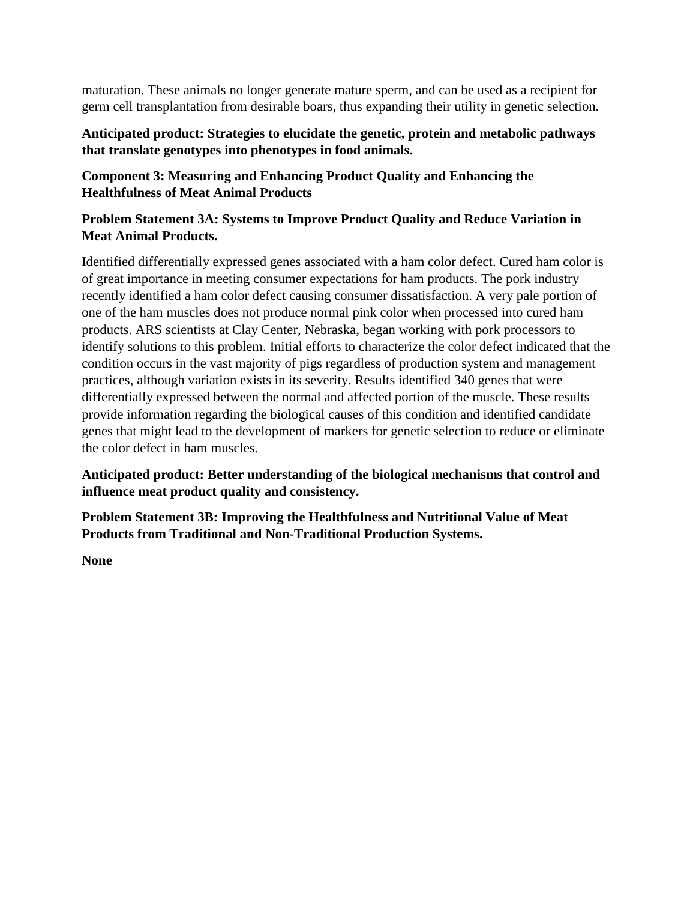maturation. These animals no longer generate mature sperm, and can be used as a recipient for germ cell transplantation from desirable boars, thus expanding their utility in genetic selection.

**Anticipated product: Strategies to elucidate the genetic, protein and metabolic pathways that translate genotypes into phenotypes in food animals.**

# **Component 3: Measuring and Enhancing Product Quality and Enhancing the Healthfulness of Meat Animal Products**

# **Problem Statement 3A: Systems to Improve Product Quality and Reduce Variation in Meat Animal Products.**

Identified differentially expressed genes associated with a ham color defect. Cured ham color is of great importance in meeting consumer expectations for ham products. The pork industry recently identified a ham color defect causing consumer dissatisfaction. A very pale portion of one of the ham muscles does not produce normal pink color when processed into cured ham products. ARS scientists at Clay Center, Nebraska, began working with pork processors to identify solutions to this problem. Initial efforts to characterize the color defect indicated that the condition occurs in the vast majority of pigs regardless of production system and management practices, although variation exists in its severity. Results identified 340 genes that were differentially expressed between the normal and affected portion of the muscle. These results provide information regarding the biological causes of this condition and identified candidate genes that might lead to the development of markers for genetic selection to reduce or eliminate the color defect in ham muscles.

**Anticipated product: Better understanding of the biological mechanisms that control and influence meat product quality and consistency.**

**Problem Statement 3B: Improving the Healthfulness and Nutritional Value of Meat Products from Traditional and Non-Traditional Production Systems.**

**None**